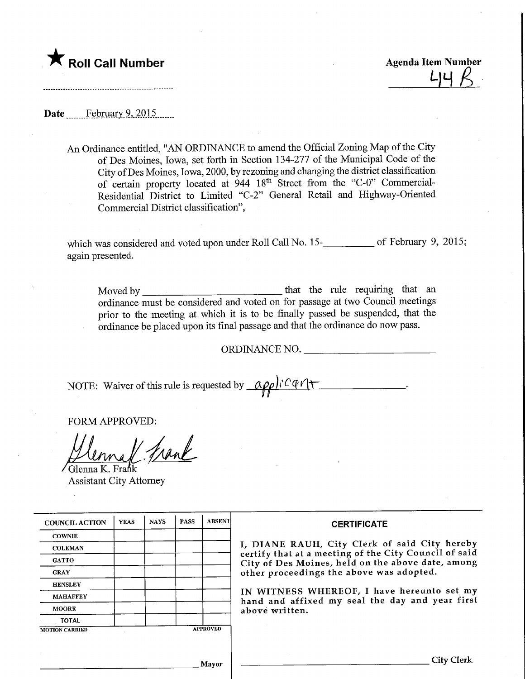

**Profil Call Number** Agenda Item Number<br>  $\begin{array}{cc} \Delta \downarrow \downarrow \downarrow \downarrow \downarrow \end{array}$ 

Date February 9, 2015

An Ordinance entitled, "AN ORDINANCE to amend the Official Zoning Map of the City of Des Moines, Iowa, set forth in Section 134-277 of the Municipal Code of the City ofDes Moines, Iowa, 2000, by rezoning and changing the district classification of certain property located at 944 18<sup>th</sup> Street from the "C-0" Commercial-Residential District to Limited "C-2" General Retail and Highway-Oriented Commercial District classification",

which was considered and voted upon under Roll Call No. 15-<br> again presented.

Moved by the rule requiring that an ordinance must be considered and voted on for passage at two Council meetings prior to the meeting at which it is to be finally passed be suspended, that the ordinance be placed upon its final passage and that the ordinance do now pass.

ORDINANCE NO.

NOTE: Waiver of this rule is requested by  $\alpha \rho \rho \hbox{Tr} C \phi \gamma +$ 

FORM APPROVED:

frank

Glenna K. Frańk Assistant City Attorney

| <b>COUNCIL ACTION</b> | <b>YEAS</b> | <b>NAYS</b> | <b>PASS</b> | <b>ABSENT</b>   | <b>CERTIFICATE</b>                                                                                                                                                                                      |  |  |
|-----------------------|-------------|-------------|-------------|-----------------|---------------------------------------------------------------------------------------------------------------------------------------------------------------------------------------------------------|--|--|
| <b>COWNIE</b>         |             |             |             |                 |                                                                                                                                                                                                         |  |  |
| <b>COLEMAN</b>        |             |             |             |                 | I, DIANE RAUH, City Clerk of said City hereby<br>certify that at a meeting of the City Council of said<br>City of Des Moines, held on the above date, among<br>other proceedings the above was adopted. |  |  |
| <b>GATTO</b>          |             |             |             |                 |                                                                                                                                                                                                         |  |  |
| <b>GRAY</b>           |             |             |             |                 |                                                                                                                                                                                                         |  |  |
| <b>HENSLEY</b>        |             |             |             |                 | IN WITNESS WHEREOF, I have hereunto set my<br>hand and affixed my seal the day and year first                                                                                                           |  |  |
| <b>MAHAFFEY</b>       |             |             |             |                 |                                                                                                                                                                                                         |  |  |
| <b>MOORE</b>          |             |             |             |                 | above written.                                                                                                                                                                                          |  |  |
| <b>TOTAL</b>          |             |             |             |                 |                                                                                                                                                                                                         |  |  |
| <b>MOTION CARRIED</b> |             |             |             | <b>APPROVED</b> |                                                                                                                                                                                                         |  |  |
|                       |             |             |             |                 |                                                                                                                                                                                                         |  |  |
|                       |             |             |             | Mavor           | City Clerk                                                                                                                                                                                              |  |  |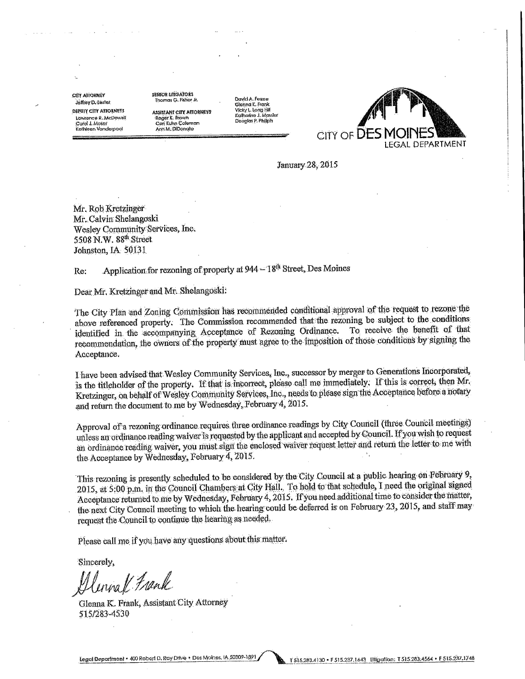**CITY ATTORNEY** Jeffrey D. Lester **DEPUTY CITY ATTORNEYS** Lawrence R. McDowell Card J. Moser Kathleen Vanderpaol

camera utilizations **Thomas G. Fisher Jr.** 

**ASSISTANT CITY ATTORNEYS** Roger K. Brown<br>Cori Kuhn Coleman Ann M. DiDonato

Double Forme Glenna K. Frank Vicky L. Long Hill Katharine J. Massler<br>Douglas P. Philiph



January 28, 2015

Mr. Rob Kretzinger Mr. Calvin Shelangoski Wesley Community Services, Inc. 5508 N.W. 88th Street Johnston, IA 50131

Application for rezoning of property at 944 - 18<sup>th</sup> Street, Des Moines Re:

Dear Mr. Kretzinger and Mr. Shelangoski:

The City Plan and Zoning Commission has recommended conditional approval of the request to rezone the above referenced property. The Commission recommended that the rezoning be subject to the conditions To receive the benefit of that identified in the accompanying Acceptance of Rezoning Ordinance. recommendation, the owners of the property must agree to the imposition of those conditions by signing the Acceptance.

I have been advised that Wesley Community Services, Inc., successor by merger to Generations Incorporated, is the titleholder of the property. If that is moorrect, please call me immediately. If this is correct, then Mr. Kretzinger, on behalf of Wesley Community Services, Inc., needs to please sign the Acceptance before a notary and return the document to me by Wednesday, February 4, 2015.

Approval of a rezoning ordinance requires three ordinance readings by City Council (three Council meetings) unless an ordinance reading waiver is requested by the applicant and accepted by Council. If you wish to request an ordinance reading waiver, you must sign the enclosed waiver request letter and return the letter to me with the Acceptance by Wednesday, February 4, 2015.

This rezoning is presently scheduled to be considered by the City Council at a public hearing on February 9, 2015, at 5:00 p.m. in the Council Chambers at City Hall. To hold to that schedule, I need the original signed Acceptance returned to me by Wednesday, February 4, 2015. If you need additional time to consider the matter, the next City Council meeting to which the hearing could be deferred is on February 23, 2015, and staff may request the Council to continue the hearing as needed.

Please call me if you have any questions about this matter.

Sincerely,

Glennal Frank

Glenna K. Frank, Assistant City Attorney 515/283-4530